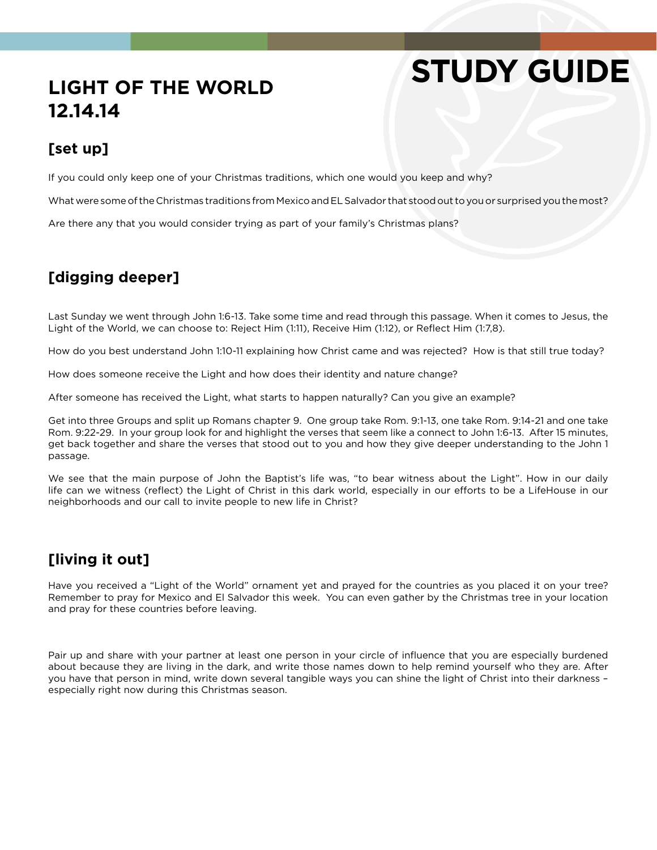# **STUDY GUIDE**

## **LIGHT OF THE WORLD 12.14.14**

#### **[set up]**

If you could only keep one of your Christmas traditions, which one would you keep and why?

What were some of the Christmas traditions from Mexico and EL Salvador that stood out to you or surprised you the most?

Are there any that you would consider trying as part of your family's Christmas plans?

### **[digging deeper]**

Last Sunday we went through John 1:6-13. Take some time and read through this passage. When it comes to Jesus, the Light of the World, we can choose to: Reject Him (1:11), Receive Him (1:12), or Reflect Him (1:7,8).

How do you best understand John 1:10-11 explaining how Christ came and was rejected? How is that still true today?

How does someone receive the Light and how does their identity and nature change?

After someone has received the Light, what starts to happen naturally? Can you give an example?

Get into three Groups and split up Romans chapter 9. One group take Rom. 9:1-13, one take Rom. 9:14-21 and one take Rom. 9:22-29. In your group look for and highlight the verses that seem like a connect to John 1:6-13. After 15 minutes, get back together and share the verses that stood out to you and how they give deeper understanding to the John 1 passage.

We see that the main purpose of John the Baptist's life was, "to bear witness about the Light". How in our daily life can we witness (reflect) the Light of Christ in this dark world, especially in our efforts to be a LifeHouse in our neighborhoods and our call to invite people to new life in Christ?

#### **[living it out]**

Have you received a "Light of the World" ornament yet and prayed for the countries as you placed it on your tree? Remember to pray for Mexico and El Salvador this week. You can even gather by the Christmas tree in your location and pray for these countries before leaving.

Pair up and share with your partner at least one person in your circle of influence that you are especially burdened about because they are living in the dark, and write those names down to help remind yourself who they are. After you have that person in mind, write down several tangible ways you can shine the light of Christ into their darkness – especially right now during this Christmas season.